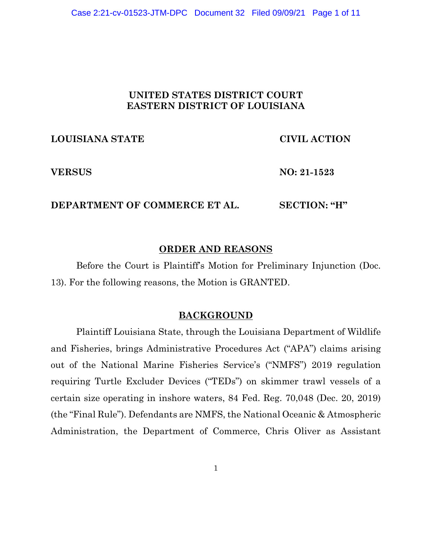# **UNITED STATES DISTRICT COURT EASTERN DISTRICT OF LOUISIANA**

# **LOUISIANA STATE CIVIL ACTION**

**VERSUS NO: 21-1523**

# **DEPARTMENT OF COMMERCE ET AL. SECTION: "H"**

# **ORDER AND REASONS**

Before the Court is Plaintiff's Motion for Preliminary Injunction (Doc. 13). For the following reasons, the Motion is GRANTED.

## **BACKGROUND**

Plaintiff Louisiana State, through the Louisiana Department of Wildlife and Fisheries, brings Administrative Procedures Act ("APA") claims arising out of the National Marine Fisheries Service's ("NMFS") 2019 regulation requiring Turtle Excluder Devices ("TEDs") on skimmer trawl vessels of a certain size operating in inshore waters, 84 Fed. Reg. 70,048 (Dec. 20, 2019) (the "Final Rule"). Defendants are NMFS, the National Oceanic & Atmospheric Administration, the Department of Commerce, Chris Oliver as Assistant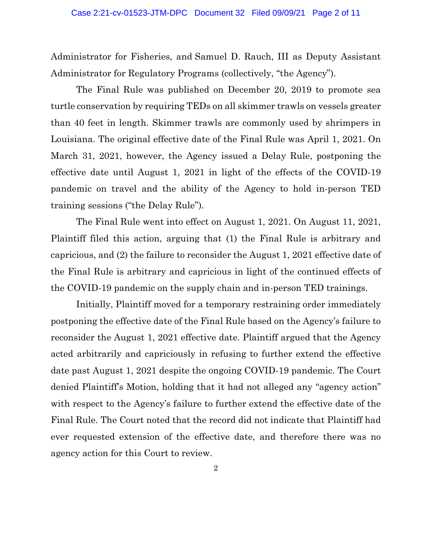Administrator for Fisheries, and Samuel D. Rauch, III as Deputy Assistant Administrator for Regulatory Programs (collectively, "the Agency").

The Final Rule was published on December 20, 2019 to promote sea turtle conservation by requiring TEDs on all skimmer trawls on vessels greater than 40 feet in length. Skimmer trawls are commonly used by shrimpers in Louisiana. The original effective date of the Final Rule was April 1, 2021. On March 31, 2021, however, the Agency issued a Delay Rule, postponing the effective date until August 1, 2021 in light of the effects of the COVID-19 pandemic on travel and the ability of the Agency to hold in-person TED training sessions ("the Delay Rule").

The Final Rule went into effect on August 1, 2021. On August 11, 2021, Plaintiff filed this action, arguing that (1) the Final Rule is arbitrary and capricious, and (2) the failure to reconsider the August 1, 2021 effective date of the Final Rule is arbitrary and capricious in light of the continued effects of the COVID-19 pandemic on the supply chain and in-person TED trainings.

Initially, Plaintiff moved for a temporary restraining order immediately postponing the effective date of the Final Rule based on the Agency's failure to reconsider the August 1, 2021 effective date. Plaintiff argued that the Agency acted arbitrarily and capriciously in refusing to further extend the effective date past August 1, 2021 despite the ongoing COVID-19 pandemic. The Court denied Plaintiff's Motion, holding that it had not alleged any "agency action" with respect to the Agency's failure to further extend the effective date of the Final Rule. The Court noted that the record did not indicate that Plaintiff had ever requested extension of the effective date, and therefore there was no agency action for this Court to review.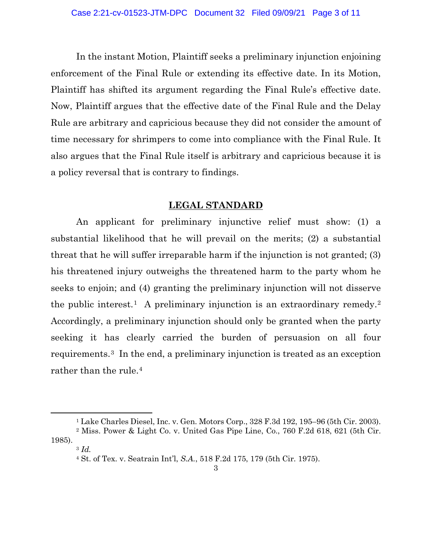In the instant Motion, Plaintiff seeks a preliminary injunction enjoining enforcement of the Final Rule or extending its effective date. In its Motion, Plaintiff has shifted its argument regarding the Final Rule's effective date. Now, Plaintiff argues that the effective date of the Final Rule and the Delay Rule are arbitrary and capricious because they did not consider the amount of time necessary for shrimpers to come into compliance with the Final Rule. It also argues that the Final Rule itself is arbitrary and capricious because it is a policy reversal that is contrary to findings.

### **LEGAL STANDARD**

An applicant for preliminary injunctive relief must show: (1) a substantial likelihood that he will prevail on the merits; (2) a substantial threat that he will suffer irreparable harm if the injunction is not granted; (3) his threatened injury outweighs the threatened harm to the party whom he seeks to enjoin; and (4) granting the preliminary injunction will not disserve the public interest.<sup>1</sup> A preliminary injunction is an extraordinary remedy.<sup>2</sup> Accordingly, a preliminary injunction should only be granted when the party seeking it has clearly carried the burden of persuasion on all four requirements.3 In the end, a preliminary injunction is treated as an exception rather than the rule.<sup>4</sup>

<sup>1</sup> Lake Charles Diesel, Inc. v. Gen. Motors Corp., 328 F.3d 192, 195–96 (5th Cir. 2003).

<sup>2</sup> Miss. Power & Light Co. v. United Gas Pipe Line, Co., 760 F.2d 618, 621 (5th Cir. 1985).

<sup>3</sup> *Id.*

<sup>4</sup> St. of Tex. v. Seatrain Int'l, *S.A.*, 518 F.2d 175, 179 (5th Cir. 1975).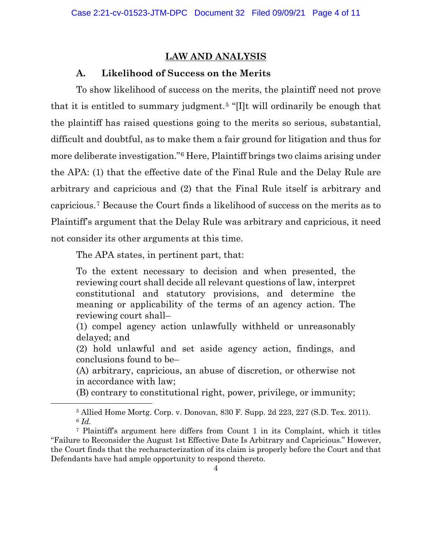# **LAW AND ANALYSIS**

# **A. Likelihood of Success on the Merits**

To show likelihood of success on the merits, the plaintiff need not prove that it is entitled to summary judgment.5 "[I]t will ordinarily be enough that the plaintiff has raised questions going to the merits so serious, substantial, difficult and doubtful, as to make them a fair ground for litigation and thus for more deliberate investigation."6 Here, Plaintiff brings two claims arising under the APA: (1) that the effective date of the Final Rule and the Delay Rule are arbitrary and capricious and (2) that the Final Rule itself is arbitrary and capricious.7 Because the Court finds a likelihood of success on the merits as to Plaintiff's argument that the Delay Rule was arbitrary and capricious, it need not consider its other arguments at this time.

The APA states, in pertinent part, that:

To the extent necessary to decision and when presented, the reviewing court shall decide all relevant questions of law, interpret constitutional and statutory provisions, and determine the meaning or applicability of the terms of an agency action. The reviewing court shall–

(1) compel agency action unlawfully withheld or unreasonably delayed; and

(2) hold unlawful and set aside agency action, findings, and conclusions found to be–

(A) arbitrary, capricious, an abuse of discretion, or otherwise not in accordance with law;

(B) contrary to constitutional right, power, privilege, or immunity;

<sup>5</sup> Allied Home Mortg. Corp. v. Donovan, 830 F. Supp. 2d 223, 227 (S.D. Tex. 2011). <sup>6</sup> *Id.*

<sup>7</sup> Plaintiff's argument here differs from Count 1 in its Complaint, which it titles "Failure to Reconsider the August 1st Effective Date Is Arbitrary and Capricious." However, the Court finds that the recharacterization of its claim is properly before the Court and that Defendants have had ample opportunity to respond thereto.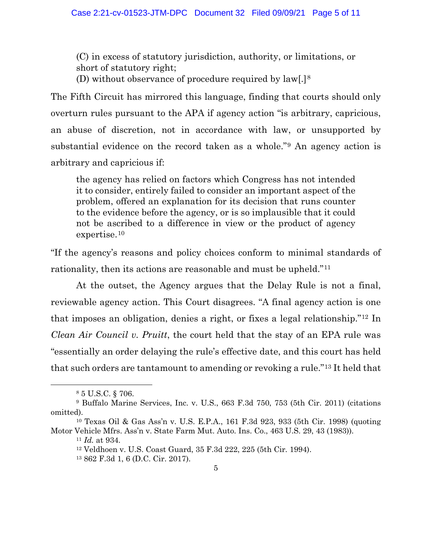(C) in excess of statutory jurisdiction, authority, or limitations, or short of statutory right;

(D) without observance of procedure required by law[.]8

The Fifth Circuit has mirrored this language, finding that courts should only overturn rules pursuant to the APA if agency action "is arbitrary, capricious, an abuse of discretion, not in accordance with law, or unsupported by substantial evidence on the record taken as a whole."9 An agency action is arbitrary and capricious if:

the agency has relied on factors which Congress has not intended it to consider, entirely failed to consider an important aspect of the problem, offered an explanation for its decision that runs counter to the evidence before the agency, or is so implausible that it could not be ascribed to a difference in view or the product of agency expertise.10

"If the agency's reasons and policy choices conform to minimal standards of rationality, then its actions are reasonable and must be upheld."11

At the outset, the Agency argues that the Delay Rule is not a final, reviewable agency action. This Court disagrees. "A final agency action is one that imposes an obligation, denies a right, or fixes a legal relationship."12 In *Clean Air Council v. Pruitt*, the court held that the stay of an EPA rule was "essentially an order delaying the rule's effective date, and this court has held that such orders are tantamount to amending or revoking a rule."13 It held that

<sup>11</sup> *Id.* at 934.

<sup>8</sup> 5 U.S.C. § 706.

<sup>9</sup> Buffalo Marine Services, Inc. v. U.S., 663 F.3d 750, 753 (5th Cir. 2011) (citations omitted).

<sup>10</sup> Texas Oil & Gas Ass'n v. U.S. E.P.A., 161 F.3d 923, 933 (5th Cir. 1998) (quoting Motor Vehicle Mfrs. Ass'n v. State Farm Mut. Auto. Ins. Co., 463 U.S. 29, 43 (1983)).

<sup>12</sup> Veldhoen v. U.S. Coast Guard, 35 F.3d 222, 225 (5th Cir. 1994).

<sup>13</sup> 862 F.3d 1, 6 (D.C. Cir. 2017).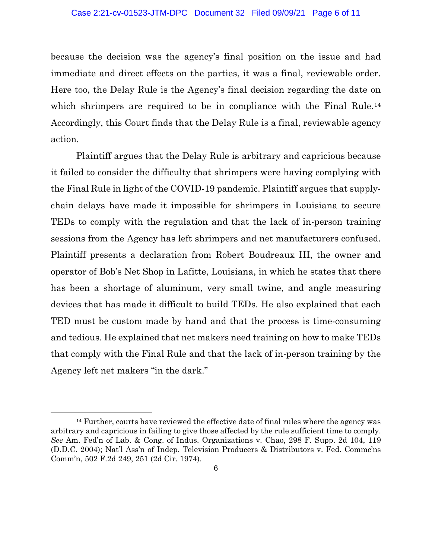#### Case 2:21-cv-01523-JTM-DPC Document 32 Filed 09/09/21 Page 6 of 11

because the decision was the agency's final position on the issue and had immediate and direct effects on the parties, it was a final, reviewable order. Here too, the Delay Rule is the Agency's final decision regarding the date on which shrimpers are required to be in compliance with the Final Rule.<sup>14</sup> Accordingly, this Court finds that the Delay Rule is a final, reviewable agency action.

Plaintiff argues that the Delay Rule is arbitrary and capricious because it failed to consider the difficulty that shrimpers were having complying with the Final Rule in light of the COVID-19 pandemic. Plaintiff argues that supplychain delays have made it impossible for shrimpers in Louisiana to secure TEDs to comply with the regulation and that the lack of in-person training sessions from the Agency has left shrimpers and net manufacturers confused. Plaintiff presents a declaration from Robert Boudreaux III, the owner and operator of Bob's Net Shop in Lafitte, Louisiana, in which he states that there has been a shortage of aluminum, very small twine, and angle measuring devices that has made it difficult to build TEDs. He also explained that each TED must be custom made by hand and that the process is time-consuming and tedious. He explained that net makers need training on how to make TEDs that comply with the Final Rule and that the lack of in-person training by the Agency left net makers "in the dark."

 $14$  Further, courts have reviewed the effective date of final rules where the agency was arbitrary and capricious in failing to give those affected by the rule sufficient time to comply. *See* Am. Fed'n of Lab. & Cong. of Indus. Organizations v. Chao, 298 F. Supp. 2d 104, 119 (D.D.C. 2004); Nat'l Ass'n of Indep. Television Producers & Distributors v. Fed. Commc'ns Comm'n, 502 F.2d 249, 251 (2d Cir. 1974).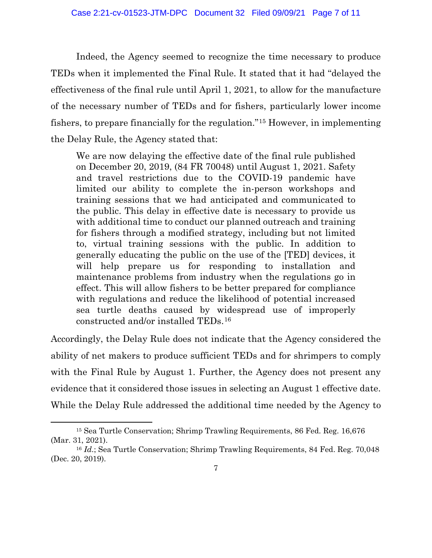Indeed, the Agency seemed to recognize the time necessary to produce TEDs when it implemented the Final Rule. It stated that it had "delayed the effectiveness of the final rule until April 1, 2021, to allow for the manufacture of the necessary number of TEDs and for fishers, particularly lower income fishers, to prepare financially for the regulation."15 However, in implementing the Delay Rule, the Agency stated that:

We are now delaying the effective date of the final rule published on December 20, 2019, (84 FR 70048) until August 1, 2021. Safety and travel restrictions due to the COVID-19 pandemic have limited our ability to complete the in-person workshops and training sessions that we had anticipated and communicated to the public. This delay in effective date is necessary to provide us with additional time to conduct our planned outreach and training for fishers through a modified strategy, including but not limited to, virtual training sessions with the public. In addition to generally educating the public on the use of the [TED] devices, it will help prepare us for responding to installation and maintenance problems from industry when the regulations go in effect. This will allow fishers to be better prepared for compliance with regulations and reduce the likelihood of potential increased sea turtle deaths caused by widespread use of improperly constructed and/or installed TEDs.16

Accordingly, the Delay Rule does not indicate that the Agency considered the ability of net makers to produce sufficient TEDs and for shrimpers to comply with the Final Rule by August 1. Further, the Agency does not present any evidence that it considered those issues in selecting an August 1 effective date. While the Delay Rule addressed the additional time needed by the Agency to

<sup>15</sup> Sea Turtle Conservation; Shrimp Trawling Requirements, 86 Fed. Reg. 16,676 (Mar. 31, 2021).

<sup>&</sup>lt;sup>16</sup> *Id.*; Sea Turtle Conservation; Shrimp Trawling Requirements, 84 Fed. Reg. 70,048 (Dec. 20, 2019).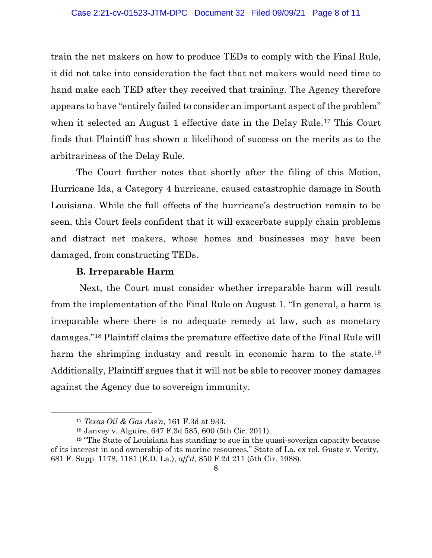train the net makers on how to produce TEDs to comply with the Final Rule, it did not take into consideration the fact that net makers would need time to hand make each TED after they received that training. The Agency therefore appears to have "entirely failed to consider an important aspect of the problem" when it selected an August 1 effective date in the Delay Rule.<sup>17</sup> This Court finds that Plaintiff has shown a likelihood of success on the merits as to the arbitrariness of the Delay Rule.

The Court further notes that shortly after the filing of this Motion, Hurricane Ida, a Category 4 hurricane, caused catastrophic damage in South Louisiana. While the full effects of the hurricane's destruction remain to be seen, this Court feels confident that it will exacerbate supply chain problems and distract net makers, whose homes and businesses may have been damaged, from constructing TEDs.

## **B. Irreparable Harm**

Next, the Court must consider whether irreparable harm will result from the implementation of the Final Rule on August 1. "In general, a harm is irreparable where there is no adequate remedy at law, such as monetary damages."18 Plaintiff claims the premature effective date of the Final Rule will harm the shrimping industry and result in economic harm to the state.<sup>19</sup> Additionally, Plaintiff argues that it will not be able to recover money damages against the Agency due to sovereign immunity.

<sup>17</sup> *Texas Oil & Gas Ass'n*, 161 F.3d at 933.

<sup>18</sup> Janvey v. Alguire, 647 F.3d 585, 600 (5th Cir. 2011).

<sup>19</sup> "The State of Louisiana has standing to sue in the quasi-soverign capacity because of its interest in and ownership of its marine resources." State of La. ex rel. Guste v. Verity, 681 F. Supp. 1178, 1181 (E.D. La.), *aff'd*, 850 F.2d 211 (5th Cir. 1988).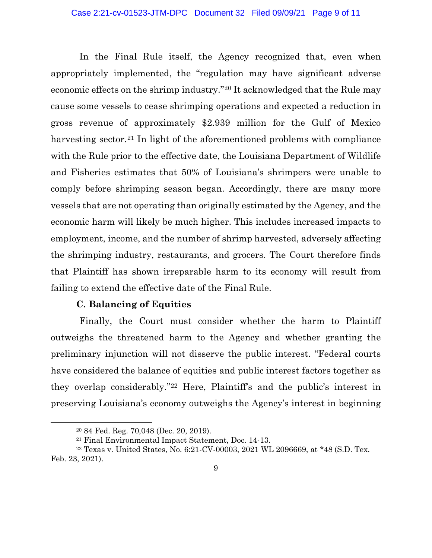In the Final Rule itself, the Agency recognized that, even when appropriately implemented, the "regulation may have significant adverse economic effects on the shrimp industry."20 It acknowledged that the Rule may cause some vessels to cease shrimping operations and expected a reduction in gross revenue of approximately \$2.939 million for the Gulf of Mexico harvesting sector.<sup>21</sup> In light of the aforementioned problems with compliance with the Rule prior to the effective date, the Louisiana Department of Wildlife and Fisheries estimates that 50% of Louisiana's shrimpers were unable to comply before shrimping season began. Accordingly, there are many more vessels that are not operating than originally estimated by the Agency, and the economic harm will likely be much higher. This includes increased impacts to employment, income, and the number of shrimp harvested, adversely affecting the shrimping industry, restaurants, and grocers. The Court therefore finds that Plaintiff has shown irreparable harm to its economy will result from failing to extend the effective date of the Final Rule.

## **C. Balancing of Equities**

Finally, the Court must consider whether the harm to Plaintiff outweighs the threatened harm to the Agency and whether granting the preliminary injunction will not disserve the public interest. "Federal courts have considered the balance of equities and public interest factors together as they overlap considerably."22 Here, Plaintiff's and the public's interest in preserving Louisiana's economy outweighs the Agency's interest in beginning

<sup>20</sup> 84 Fed. Reg. 70,048 (Dec. 20, 2019).

<sup>21</sup> Final Environmental Impact Statement, Doc. 14-13.

<sup>22</sup> Texas v. United States, No. 6:21-CV-00003, 2021 WL 2096669, at \*48 (S.D. Tex. Feb. 23, 2021).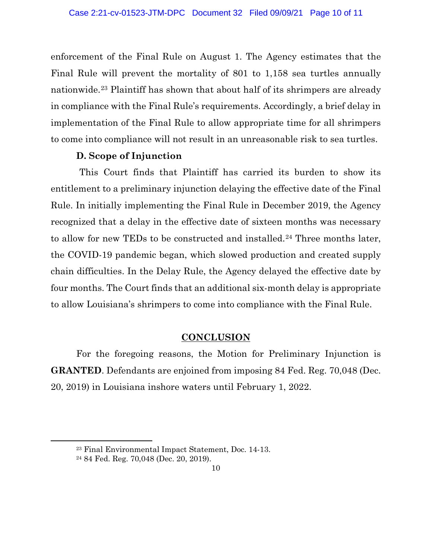enforcement of the Final Rule on August 1. The Agency estimates that the Final Rule will prevent the mortality of 801 to 1,158 sea turtles annually nationwide.23 Plaintiff has shown that about half of its shrimpers are already in compliance with the Final Rule's requirements. Accordingly, a brief delay in implementation of the Final Rule to allow appropriate time for all shrimpers to come into compliance will not result in an unreasonable risk to sea turtles.

## **D. Scope of Injunction**

This Court finds that Plaintiff has carried its burden to show its entitlement to a preliminary injunction delaying the effective date of the Final Rule. In initially implementing the Final Rule in December 2019, the Agency recognized that a delay in the effective date of sixteen months was necessary to allow for new TEDs to be constructed and installed.24 Three months later, the COVID-19 pandemic began, which slowed production and created supply chain difficulties. In the Delay Rule, the Agency delayed the effective date by four months. The Court finds that an additional six-month delay is appropriate to allow Louisiana's shrimpers to come into compliance with the Final Rule.

## **CONCLUSION**

For the foregoing reasons, the Motion for Preliminary Injunction is **GRANTED**. Defendants are enjoined from imposing 84 Fed. Reg. 70,048 (Dec. 20, 2019) in Louisiana inshore waters until February 1, 2022.

<sup>23</sup> Final Environmental Impact Statement, Doc. 14-13.

<sup>24</sup> 84 Fed. Reg. 70,048 (Dec. 20, 2019).